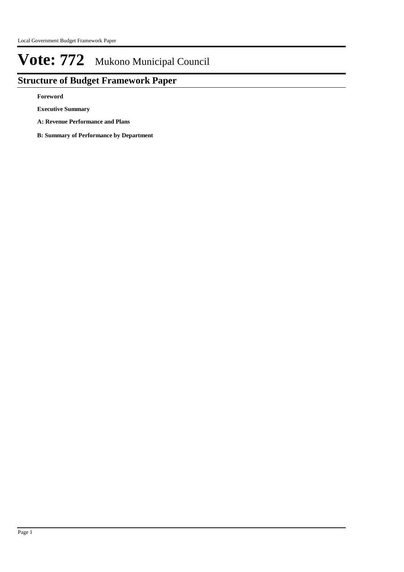# **Structure of Budget Framework Paper**

**Foreword**

**Executive Summary**

- **A: Revenue Performance and Plans**
- **B: Summary of Performance by Department**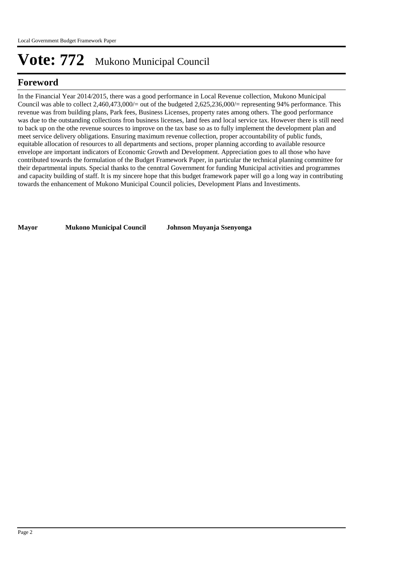# **Foreword**

In the Financial Year 2014/2015, there was a good performance in Local Revenue collection, Mukono Municipal Council was able to collect  $2,460,473,000/=$  out of the budgeted  $2,625,236,000/=$  representing 94% performance. This revenue was from building plans, Park fees, Business Licenses, property rates among others. The good performance was due to the outstanding collections fron business licenses, land fees and local service tax. However there is still need to back up on the othe revenue sources to improve on the tax base so as to fully implement the development plan and meet service delivery obligations. Ensuring maximum revenue collection, proper accountability of public funds, equitable allocation of resources to all departments and sections, proper planning according to available resource envelope are important indicators of Economic Growth and Development. Appreciation goes to all those who have contributed towards the formulation of the Budget Framework Paper, in particular the technical planning committee for their departmental inputs. Special thanks to the cenntral Government for funding Municipal activities and programmes and capacity building of staff. It is my sincere hope that this budget framework paper will go a long way in contributing towards the enhancement of Mukono Municipal Council policies, Development Plans and Investiments.

**Mayor Mukono Municipal Council Johnson Muyanja Ssenyonga**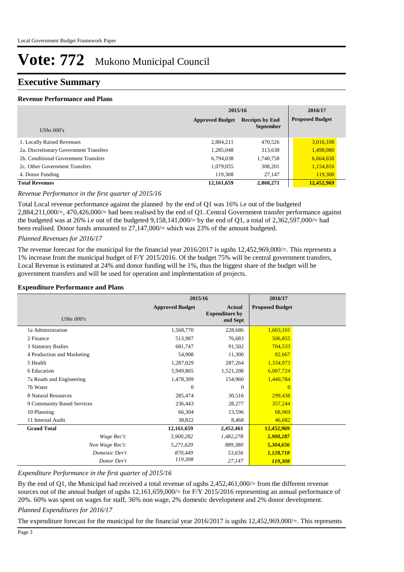## **Executive Summary**

### **Revenue Performance and Plans**

|                                        | 2015/16                | 2016/17                |                        |
|----------------------------------------|------------------------|------------------------|------------------------|
|                                        | <b>Approved Budget</b> | <b>Receipts by End</b> | <b>Proposed Budget</b> |
| UShs $000's$                           |                        | <b>September</b>       |                        |
| 1. Locally Raised Revenues             | 2,884,211              | 470,526                | 3,016,108              |
| 2a. Discretionary Government Transfers | 1,285,048              | 313,638                | 1,498,080              |
| 2b. Conditional Government Transfers   | 6,794,038              | 1,740,758              | 6,664,658              |
| 2c. Other Government Transfers         | 1,079,055              | 308,201                | 1,154,816              |
| 4. Donor Funding                       | 119,308                | 27,147                 | 119,308                |
| <b>Total Revenues</b>                  | 12,161,659             | 2,860,271              | 12,452,969             |

### *Revenue Performance in the first quarter of 2015/16*

Total Local revenue performance against the planned by the end of Q1 was 16% i.e out of the budgeted 2,884,211,000/=, 470,426,000/= had been realised by the end of Q1..Central Government transfer performance against the budgeted was at 26% i.e out of the budgeted  $9,158,141,000/=$  by the end of Q1, a total of 2,362,597,000/= had been realised. Donor funds amounted to  $27,147,000/$  which was 23% of the amount budgeted.

#### *Planned Revenues for 2016/17*

The revenue forecast for the municipal for the financial year 2016/2017 is ugshs 12,452,969,000/=. This represents a 1% increase from the municipal budget of F/Y 2015/2016. Of the budget 75% will be central government transfers, Local Revenue is estimated at 24% and donor funding will be 1%, thus the biggest share of the budget will be government transfers and will be used for operation and implementation of projects.

#### **Expenditure Performance and Plans**

|                            | 2015/16                |                                                    | 2016/17                |  |
|----------------------------|------------------------|----------------------------------------------------|------------------------|--|
| UShs $000's$               | <b>Approved Budget</b> | <b>Actual</b><br><b>Expenditure by</b><br>end Sept | <b>Proposed Budget</b> |  |
| 1a Administration          | 1,568,770              | 228,686                                            | 1,603,101              |  |
| 2 Finance                  | 513,987                | 76,683                                             | 506,855                |  |
| 3 Statutory Bodies         | 681,747                | 91,502                                             | 704,533                |  |
| 4 Production and Marketing | 54,908                 | 11,300                                             | 82,667                 |  |
| 5 Health                   | 1,287,029              | 287,264                                            | 1,334,973              |  |
| 6 Education                | 5,949,865              | 1,521,208                                          | 6,007,724              |  |
| 7a Roads and Engineering   | 1,478,309              | 154,960                                            | 1,440,784              |  |
| 7b Water                   | $\Omega$               | $\Omega$                                           | $\Omega$               |  |
| 8 Natural Resources        | 285,474                | 30,516                                             | 299,438                |  |
| 9 Community Based Services | 236,443                | 28,277                                             | 357,244                |  |
| 10 Planning                | 66,304                 | 13,596                                             | 68,969                 |  |
| 11 Internal Audit          | 38,822                 | 8,468                                              | 46,682                 |  |
| <b>Grand Total</b>         | 12,161,659             | 2,452,461                                          | 12,452,969             |  |
| Wage Rec't:                | 5,900,282              | 1,482,278                                          | 5,900,287              |  |
| Non Wage Rec't:            | 5,271,620              | 889,380                                            | 5,304,656              |  |
| Domestic Dev't             | 870,449                | 53,656                                             | 1,128,718              |  |
| Donor Dev't                | 119,308                | 27,147                                             | 119,308                |  |

*Expenditure Performance in the first quarter of 2015/16*

By the end of Q1, the Municipal had received a total revenue of ugshs 2,452,461,000/= from the different revenue sources out of the annual budget of ugshs 12,161,659,000/= for F/Y 2015/2016 representing an annual performance of 20%. 60% was spent on wages for staff, 36% non wage, 2% domestic development and 2% donor development.

### *Planned Expenditures for 2016/17*

The expenditure forecast for the municipal for the financial year 2016/2017 is ugshs 12,452,969,000/=. This represents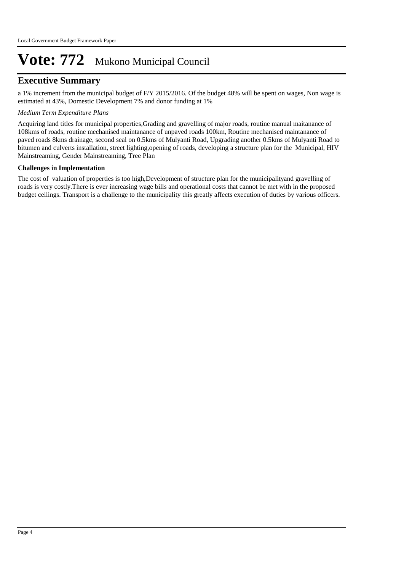## **Executive Summary**

a 1% increment from the municipal budget of F/Y 2015/2016. Of the budget 48% will be spent on wages, Non wage is estimated at 43%, Domestic Development 7% and donor funding at 1%

### *Medium Term Expenditure Plans*

Acquiring land titles for municipal properties,Grading and gravelling of major roads, routine manual maitanance of 108kms of roads, routine mechanised maintanance of unpaved roads 100km, Routine mechanised maintanance of paved roads 8kms drainage, second seal on 0.5kms of Mulyanti Road, Upgrading another 0.5kms of Mulyanti Road to bitumen and culverts installation, street lighting,opening of roads, developing a structure plan for the Municipal, HIV Mainstreaming, Gender Mainstreaming, Tree Plan

### **Challenges in Implementation**

The cost of valuation of properties is too high,Development of structure plan for the municipalityand gravelling of roads is very costly.There is ever increasing wage bills and operational costs that cannot be met with in the proposed budget ceilings. Transport is a challenge to the municipality this greatly affects execution of duties by various officers.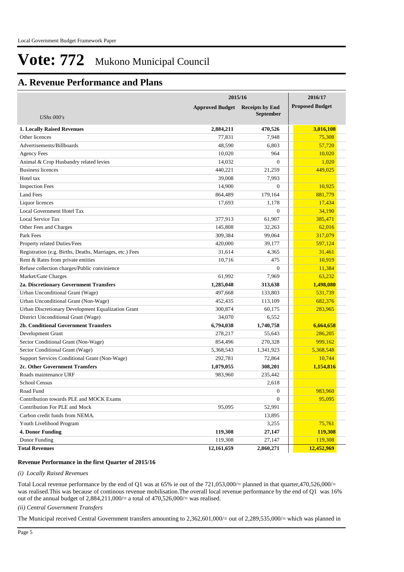# **A. Revenue Performance and Plans**

|                                                          | 2015/16                | 2016/17                |                        |
|----------------------------------------------------------|------------------------|------------------------|------------------------|
|                                                          | <b>Approved Budget</b> | <b>Receipts by End</b> | <b>Proposed Budget</b> |
| <b>UShs 000's</b>                                        |                        | <b>September</b>       |                        |
| <b>1. Locally Raised Revenues</b>                        | 2,884,211              | 470,526                | 3,016,108              |
| Other licences                                           | 77,831                 | 7,948                  | 75,308                 |
| Advertisements/Billboards                                | 48,590                 | 6,803                  | 57,720                 |
| <b>Agency Fees</b>                                       | 10,020                 | 964                    | 10,020                 |
| Animal & Crop Husbandry related levies                   | 14,032                 | $\Omega$               | 1,020                  |
| <b>Business licences</b>                                 | 440,221                | 21,259                 | 449,025                |
| Hotel tax                                                | 39,008                 | 7,993                  |                        |
| <b>Inspection Fees</b>                                   | 14,900                 | $\overline{0}$         | 10.925                 |
| <b>Land Fees</b>                                         | 864,489                | 179,164                | 881,779                |
| Liquor licences                                          | 17,693                 | 1,178                  | 17,434                 |
| Local Government Hotel Tax                               |                        | $\overline{0}$         | 34,190                 |
| Local Service Tax                                        | 377,913                | 61,907                 | 385,471                |
| Other Fees and Charges                                   | 145,808                | 32.263                 | 62,016                 |
| Park Fees                                                | 309,384                | 99,064                 | 317,079                |
| Property related Duties/Fees                             | 420,000                | 39.177                 | 597,124                |
| Registration (e.g. Births, Deaths, Marriages, etc.) Fees | 31,614                 | 4,365                  | 31,461                 |
| Rent & Rates from private entities                       | 10,716                 | 475                    | 10,919                 |
| Refuse collection charges/Public convinience             |                        | $\mathbf{0}$           | 11,384                 |
| Market/Gate Charges                                      | 61,992                 | 7,969                  | 63,232                 |
| 2a. Discretionary Government Transfers                   | 1,285,048              | 313,638                | 1,498,080              |
| Urban Unconditional Grant (Wage)                         | 497,668                | 133,803                | 531,739                |
| Urban Unconditional Grant (Non-Wage)                     | 452,435                | 113,109                | 682,376                |
| Urban Discretionary Development Equalization Grant       | 300,874                | 60,175                 | 283,965                |
| District Unconditional Grant (Wage)                      | 34,070                 | 6,552                  |                        |
| <b>2b. Conditional Government Transfers</b>              | 6,794,038              | 1,740,758              | 6,664,658              |
| Development Grant                                        | 278,217                | 55,643                 | 286,205                |
| Sector Conditional Grant (Non-Wage)                      | 854,496                | 270,328                | 999,162                |
| Sector Conditional Grant (Wage)                          | 5,368,543              | 1,341,923              | 5,368,548              |
| Support Services Conditional Grant (Non-Wage)            | 292,781                | 72,864                 | 10,744                 |
| 2c. Other Government Transfers                           | 1,079,055              | 308,201                | 1,154,816              |
| Roads maintenance URF                                    | 983,960                | 235,442                |                        |
| <b>School Census</b>                                     |                        | 2,618                  |                        |
| Road Fund                                                |                        | $\boldsymbol{0}$       | 983,960                |
| Contribution towards PLE and MOCK Exams                  |                        | $\boldsymbol{0}$       | 95,095                 |
| Contribution For PLE and Mock                            | 95,095                 | 52,991                 |                        |
| Carbon credit funds from NEMA.                           |                        | 13,895                 |                        |
| Youth Livelihood Program                                 |                        | 3,255                  | 75,761                 |
| <b>4. Donor Funding</b>                                  | 119,308                | 27,147                 | 119,308                |
| Donor Funding                                            | 119,308                | 27,147                 | 119,308                |
| <b>Total Revenues</b>                                    | 12,161,659             | 2,860,271              | 12,452,969             |

#### **Revenue Performance in the first Quarter of 2015/16**

#### *(i) Locally Raised Revenues*

Total Local revenue performance by the end of Q1 was at 65% ie out of the 721,053,000/= planned in that quarter,470,526,000/= was realised.This was because of continous revenue mobilisation.The overall local revenue performance by the end of Q1 was 16% out of the annual budget of 2,884,211,000/= a total of 470,526,000/= was realised.

#### *(ii) Central Government Transfers*

The Municipal received Central Government transfers amounting to 2,362,601,000/= out of 2,289,535,000/= which was planned in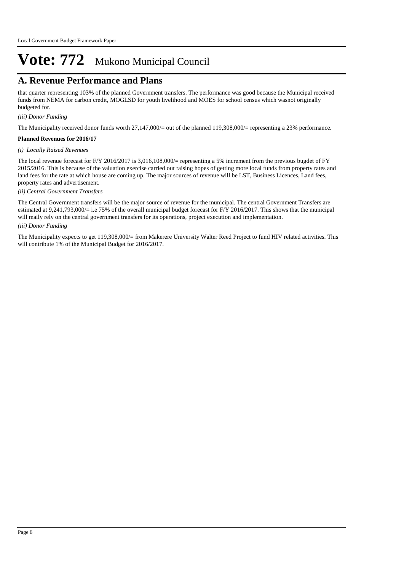# **A. Revenue Performance and Plans**

that quarter representing 103% of the planned Government transfers. The performance was good because the Municipal received funds from NEMA for carbon credit, MOGLSD for youth livelihood and MOES for school census which wasnot originally budgeted for.

*(iii) Donor Funding*

The Municipality received donor funds worth 27,147,000/= out of the planned 119,308,000/= representing a 23% performance.

#### **Planned Revenues for 2016/17**

#### *(i) Locally Raised Revenues*

The local revenue forecast for F/Y 2016/2017 is 3,016,108,000/= representing a 5% increment from the previous bugdet of FY 2015/2016. This is because of the valuation exercise carried out raising hopes of getting more local funds from property rates and land fees for the rate at which house are coming up. The major sources of revenue will be LST, Business Licences, Land fees, property rates and advertisement.

#### *(ii) Central Government Transfers*

*(iii) Donor Funding* The Central Government transfers will be the major source of revenue for the municipal. The central Government Transfers are estimated at 9,241,793,000/= i.e 75% of the overall municipal budget forecast for F/Y 2016/2017. This shows that the municipal will maily rely on the central government transfers for its operations, project execution and implementation.

The Municipality expects to get 119,308,000/= from Makerere University Walter Reed Project to fund HIV related activities. This will contribute 1% of the Municipal Budget for 2016/2017.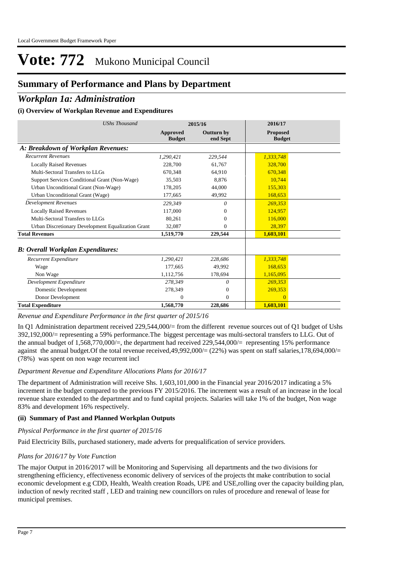# **Summary of Performance and Plans by Department**

## *Workplan 1a: Administration*

## **(i) Overview of Workplan Revenue and Expenditures**

| <b>UShs Thousand</b>                               |                                  | 2015/16                       | 2016/17                          |  |
|----------------------------------------------------|----------------------------------|-------------------------------|----------------------------------|--|
|                                                    | <b>Approved</b><br><b>Budget</b> | <b>Outturn by</b><br>end Sept | <b>Proposed</b><br><b>Budget</b> |  |
| A: Breakdown of Workplan Revenues:                 |                                  |                               |                                  |  |
| <b>Recurrent Revenues</b>                          | 1.290.421                        | 229,544                       | 1,333,748                        |  |
| <b>Locally Raised Revenues</b>                     | 228,700                          | 61,767                        | 328,700                          |  |
| Multi-Sectoral Transfers to LLGs                   | 670.348                          | 64.910                        | 670.348                          |  |
| Support Services Conditional Grant (Non-Wage)      | 35,503                           | 8.876                         | 10.744                           |  |
| Urban Unconditional Grant (Non-Wage)               | 178,205                          | 44,000                        | 155,303                          |  |
| Urban Unconditional Grant (Wage)                   | 177,665                          | 49,992                        | 168,653                          |  |
| <b>Development Revenues</b>                        | 229.349                          | $\theta$                      | 269,353                          |  |
| <b>Locally Raised Revenues</b>                     | 117,000                          | 0                             | 124,957                          |  |
| Multi-Sectoral Transfers to LLGs                   | 80.261                           | 0                             | 116,000                          |  |
| Urban Discretionary Development Equalization Grant | 32,087                           | $\theta$                      | 28,397                           |  |
| <b>Total Revenues</b>                              | 1,519,770                        | 229,544                       | 1,603,101                        |  |
| <b>B</b> : Overall Workplan Expenditures:          |                                  |                               |                                  |  |
| Recurrent Expenditure                              | 1.290.421                        | 228,686                       | 1,333,748                        |  |
| Wage                                               | 177,665                          | 49.992                        | 168,653                          |  |
| Non Wage                                           | 1,112,756                        | 178,694                       | 1,165,095                        |  |
| Development Expenditure                            | 278.349                          | $\theta$                      | 269.353                          |  |
| Domestic Development                               | 278,349                          | $\theta$                      | 269,353                          |  |
| Donor Development                                  | $\Omega$                         | $\Omega$                      | $\Omega$                         |  |
| <b>Total Expenditure</b>                           | 1,568,770                        | 228,686                       | 1,603,101                        |  |

*Revenue and Expenditure Performance in the first quarter of 2015/16*

In Q1 Administration department received 229,544,000/= from the different revenue sources out of Q1 budget of Ushs 392,192,000/= representing a 59% performance.The biggest percentage was multi-sectoral transfers to LLG. Out of the annual budget of 1,568,770,000/=, the department had received 229,544,000/= representing 15% performance against the annual budget. Of the total revenue received,49,992,000/ $=$  (22%) was spent on staff salaries,178,694,000/ $=$ (78%) was spent on non wage recurrent incl

### *Department Revenue and Expenditure Allocations Plans for 2016/17*

The department of Administration will receive Shs. 1,603,101,000 in the Financial year 2016/2017 indicating a 5% increment in the budget compared to the previous FY 2015/2016. The increment was a result of an increase in the local revenue share extended to the department and to fund capital projects. Salaries will take 1% of the budget, Non wage 83% and development 16% respectively.

### **(ii) Summary of Past and Planned Workplan Outputs**

*Physical Performance in the first quarter of 2015/16*

Paid Electricity Bills, purchased stationery, made adverts for prequalification of service providers.

### *Plans for 2016/17 by Vote Function*

The major Output in 2016/2017 will be Monitoring and Supervising all departments and the two divisions for strengthening efficiency, effectiveness economic delivery of services of the projects tht make contribution to social economic development e.g CDD, Health, Wealth creation Roads, UPE and USE,rolling over the capacity building plan, induction of newly recrited staff , LED and training new councillors on rules of procedure and renewal of lease for municipal premises.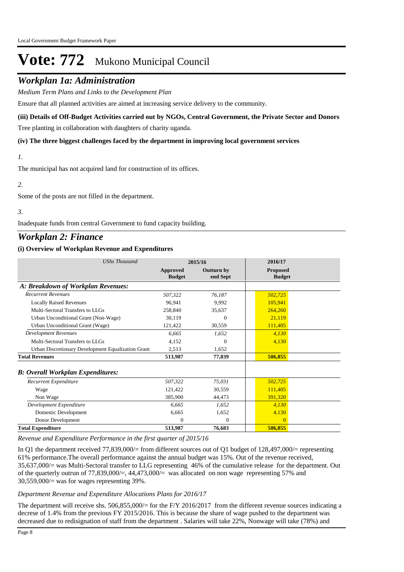## *Workplan 1a: Administration*

*Medium Term Plans and Links to the Development Plan*

Ensure that all planned activities are aimed at increasing service delivery to the community.

### **(iii) Details of Off-Budget Activities carried out by NGOs, Central Government, the Private Sector and Donors**

Tree planting in collaboration with daughters of charity uganda.

#### **(iv) The three biggest challenges faced by the department in improving local government services**

```
1.
```
The municipal has not acquired land for construction of its offices.

## *2.*

Some of the posts are not filled in the department.

### *3.*

Inadequate funds from central Government to fund capacity building.

## *Workplan 2: Finance*

### **(i) Overview of Workplan Revenue and Expenditures**

| <b>UShs Thousand</b>                               |                           | 2015/16                       | 2016/17                          |  |
|----------------------------------------------------|---------------------------|-------------------------------|----------------------------------|--|
|                                                    | Approved<br><b>Budget</b> | <b>Outturn by</b><br>end Sept | <b>Proposed</b><br><b>Budget</b> |  |
| A: Breakdown of Workplan Revenues:                 |                           |                               |                                  |  |
| <b>Recurrent Revenues</b>                          | 507.322                   | 76,187                        | 502,725                          |  |
| <b>Locally Raised Revenues</b>                     | 96,941                    | 9.992                         | 105,941                          |  |
| Multi-Sectoral Transfers to LLGs                   | 258,840                   | 35,637                        | 264,260                          |  |
| Urban Unconditional Grant (Non-Wage)               | 30.119                    | 0                             | 21,119                           |  |
| Urban Unconditional Grant (Wage)                   | 121,422                   | 30,559                        | 111,405                          |  |
| <b>Development Revenues</b>                        | 6,665                     | 1,652                         | 4,130                            |  |
| Multi-Sectoral Transfers to LLGs                   | 4,152                     | 0                             | 4,130                            |  |
| Urban Discretionary Development Equalization Grant | 2,513                     | 1,652                         |                                  |  |
| <b>Total Revenues</b>                              | 513,987                   | 77,839                        | 506,855                          |  |
| <b>B: Overall Workplan Expenditures:</b>           |                           |                               |                                  |  |
| Recurrent Expenditure                              | 507,322                   | 75,031                        | 502,725                          |  |
| Wage                                               | 121.422                   | 30.559                        | 111,405                          |  |
| Non Wage                                           | 385,900                   | 44,473                        | 391,320                          |  |
| Development Expenditure                            | 6,665                     | 1.652                         | 4,130                            |  |
| Domestic Development                               | 6,665                     | 1,652                         | 4,130                            |  |
| Donor Development                                  | $\Omega$                  | $\mathbf{0}$                  | $\Omega$                         |  |
| <b>Total Expenditure</b>                           | 513,987                   | 76,683                        | 506,855                          |  |

*Revenue and Expenditure Performance in the first quarter of 2015/16*

In Q1 the department received 77,839,000/= from different sources out of Q1 budget of 128,497,000/= representing 61% performance.The overall performance against the annual budget was 15%. Out of the revenue received, 35,637,000/= was Multi-Sectoral transfer to LLG representing 46% of the cumulative release for the department. Out of the quarterly outrun of 77,839,000/=, 44,473,000/= was allocated on non wage representing 57% and  $30,559,000/$  was for wages representing 39%.

#### *Department Revenue and Expenditure Allocations Plans for 2016/17*

The department will receive shs.  $506,855,000/=$  for the F/Y 2016/2017 from the different revenue sources indicating a decrese of 1.4% from the previous FY 2015/2016. This is because the share of wage pushed to the department was decreased due to redisignation of staff from the department . Salaries will take 22%, Nonwage will take (78%) and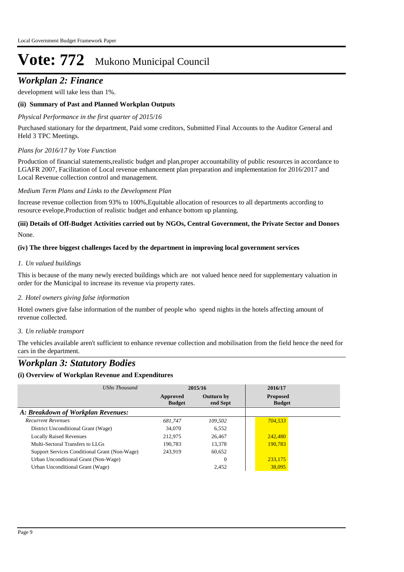# *Workplan 2: Finance*

development will take less than 1%.

### **(ii) Summary of Past and Planned Workplan Outputs**

### *Physical Performance in the first quarter of 2015/16*

Purchased stationary for the department, Paid some creditors, Submitted Final Accounts to the Auditor General and Held 3 TPC Meetings.

### *Plans for 2016/17 by Vote Function*

Production of financial statements,realistic budget and plan,proper accountability of public resources in accordance to LGAFR 2007, Facilitation of Local revenue enhancement plan preparation and implementation for 2016/2017 and Local Revenue collection control and management.

#### *Medium Term Plans and Links to the Development Plan*

Increase revenue collection from 93% to 100%,Equitable allocation of resources to all departments according to resource evelope,Production of realistic budget and enhance bottom up planning.

## None. **(iii) Details of Off-Budget Activities carried out by NGOs, Central Government, the Private Sector and Donors**

### **(iv) The three biggest challenges faced by the department in improving local government services**

### *Un valued buildings 1.*

This is because of the many newly erected buildings which are not valued hence need for supplementary valuation in order for the Municipal to increase its revenue via property rates.

### *Hotel owners giving false information 2.*

Hotel owners give false information of the number of people who spend nights in the hotels affecting amount of revenue collected.

### *Un reliable transport 3.*

The vehicles available aren't sufficient to enhance revenue collection and mobilisation from the field hence the need for cars in the department.

# *Workplan 3: Statutory Bodies*

### **(i) Overview of Workplan Revenue and Expenditures**

| UShs Thousand                                 |                           | 2015/16                       | 2016/17                          |
|-----------------------------------------------|---------------------------|-------------------------------|----------------------------------|
|                                               | Approved<br><b>Budget</b> | <b>Outturn by</b><br>end Sept | <b>Proposed</b><br><b>Budget</b> |
| A: Breakdown of Workplan Revenues:            |                           |                               |                                  |
| <b>Recurrent Revenues</b>                     | 681.747                   | 109.502                       | 704,533                          |
| District Unconditional Grant (Wage)           | 34,070                    | 6.552                         |                                  |
| <b>Locally Raised Revenues</b>                | 212,975                   | 26,467                        | 242,480                          |
| Multi-Sectoral Transfers to LLGs              | 190.783                   | 13.378                        | 190.783                          |
| Support Services Conditional Grant (Non-Wage) | 243.919                   | 60.652                        |                                  |
| Urban Unconditional Grant (Non-Wage)          |                           | $\Omega$                      | 233,175                          |
| Urban Unconditional Grant (Wage)              |                           | 2.452                         | 38,095                           |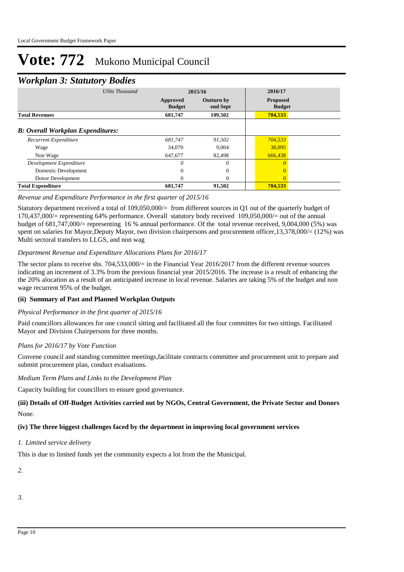## *Workplan 3: Statutory Bodies*

|                                          | ັ                    |                           |                               |                                  |  |
|------------------------------------------|----------------------|---------------------------|-------------------------------|----------------------------------|--|
|                                          | <b>UShs Thousand</b> |                           | 2015/16                       |                                  |  |
|                                          |                      | Approved<br><b>Budget</b> | <b>Outturn by</b><br>end Sept | <b>Proposed</b><br><b>Budget</b> |  |
| <b>Total Revenues</b>                    |                      | 681,747                   | 109,502                       | 704,533                          |  |
| <b>B: Overall Workplan Expenditures:</b> |                      |                           |                               |                                  |  |
| Recurrent Expenditure                    |                      | 681,747                   | 91,502                        | 704,533                          |  |
| Wage                                     |                      | 34,070                    | 9,004                         | 38,095                           |  |
| Non Wage                                 |                      | 647,677                   | 82,498                        | 666,438                          |  |
| Development Expenditure                  |                      | 0                         | $\theta$                      | 0                                |  |
| Domestic Development                     |                      | $\theta$                  | $\theta$                      | $\Omega$                         |  |
| Donor Development                        |                      | $\theta$                  | $\Omega$                      | $\Omega$                         |  |
| <b>Total Expenditure</b>                 |                      | 681,747                   | 91,502                        | 704.533                          |  |

### *Revenue and Expenditure Performance in the first quarter of 2015/16*

Statutory department received a total of 109,050,000/= from different sources in Q1 out of the quarterly budget of 170,437,000/= representing 64% performance. Overall statutory body received 109,050,000/= out of the annual budget of 681,747,000/= representing 16 % annual performance. Of the total revenue received, 9,004,000 (5%) was spent on salaries for Mayor,Deputy Mayor, two division chairpersons and procurement officer,13,378,000/= (12%) was Multi sectoral transfers to LLGS, and non wag

### *Department Revenue and Expenditure Allocations Plans for 2016/17*

The sector plans to receive shs. 704,533,000/= in the Financial Year 2016/2017 from the different revenue sources indicating an increment of 3.3% from the previous financial year 2015/2016. The increase is a result of enhancing the the 20% alocation as a result of an anticipated increase in local revenue. Salaries are taking 5% of the budget and non wage recurrent 95% of the budget.

### **(ii) Summary of Past and Planned Workplan Outputs**

### *Physical Performance in the first quarter of 2015/16*

Paid councillors allowances for one council sitting and facilitated all the four committes for two sittings. Facilitated Mayor and Division Chairpersons for three months.

### *Plans for 2016/17 by Vote Function*

Convene council and standing committee meetings,facilitate contracts committee and procurement unit to prepare and submitt procurement plan, conduct evaluations.

### *Medium Term Plans and Links to the Development Plan*

Capacity building for councillors to ensure good governance.

## None. **(iii) Details of Off-Budget Activities carried out by NGOs, Central Government, the Private Sector and Donors**

### **(iv) The three biggest challenges faced by the department in improving local government services**

### *Limited service delivery 1.*

This is due to limited funds yet the community expects a lot from the the Municipal.

*2.*

*3.*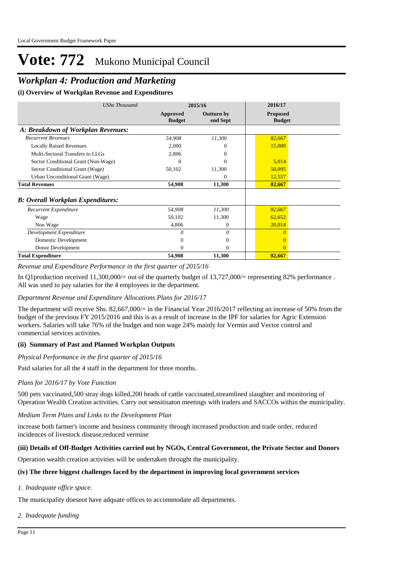# *Workplan 4: Production and Marketing*

**(i) Overview of Workplan Revenue and Expenditures**

| <b>UShs Thousand</b>                     |                           | 2015/16                       | 2016/17                          |
|------------------------------------------|---------------------------|-------------------------------|----------------------------------|
|                                          | Approved<br><b>Budget</b> | <b>Outturn by</b><br>end Sept | <b>Proposed</b><br><b>Budget</b> |
| A: Breakdown of Workplan Revenues:       |                           |                               |                                  |
| <b>Recurrent Revenues</b>                | 54,908                    | 11,300                        | 82,667                           |
| <b>Locally Raised Revenues</b>           | 2,000                     | 0                             | 15,000                           |
| Multi-Sectoral Transfers to LLGs         | 2,806                     | 0                             |                                  |
| Sector Conditional Grant (Non-Wage)      | 0                         | 0                             | 5,014                            |
| Sector Conditional Grant (Wage)          | 50,102                    | 11,300                        | 50,095                           |
| Urban Unconditional Grant (Wage)         |                           | $\Omega$                      | 12,557                           |
| <b>Total Revenues</b>                    | 54,908                    | 11,300                        | 82,667                           |
| <b>B: Overall Workplan Expenditures:</b> |                           |                               |                                  |
| Recurrent Expenditure                    | 54,908                    | 11,300                        | 82,667                           |
| Wage                                     | 50,102                    | 11,300                        | 62,652                           |
| Non Wage                                 | 4,806                     | $\overline{0}$                | 20,014                           |
| Development Expenditure                  | 0                         | $\theta$                      |                                  |
| Domestic Development                     | 0                         | $\overline{0}$                |                                  |
| Donor Development                        | 0                         | $\Omega$                      |                                  |
| <b>Total Expenditure</b>                 | 54,908                    | 11,300                        | 82,667                           |

*Revenue and Expenditure Performance in the first quarter of 2015/16*

In Q1production received 11,300,000/= out of the quarterly budget of 13,727,000/= representing 82% performance. All was used to pay salaries for the 4 employees in the department.

### *Department Revenue and Expenditure Allocations Plans for 2016/17*

The department will receive Shs. 82,667,000/= in the Financial Year 2016/2017 reflecting an increase of 50% from the budget of the previous FY 2015/2016 and this is as a result of increase in the IPF for salaries for Agric Extension workers. Salaries will take 76% of the budget and non wage 24% mainly for Vermin and Vector control and commercial services activities.

### **(ii) Summary of Past and Planned Workplan Outputs**

#### *Physical Performance in the first quarter of 2015/16*

Paid salaries for all the 4 staff in the department for three months.

#### *Plans for 2016/17 by Vote Function*

500 pets vaccinated,500 stray dogs killed,200 heads of cattle vaccinated,streamlined slaughter and monitoring of Operation Wealth Creation activities. Carry out sensitisaton meetings with traders and SACCOs within the municipality.

*Medium Term Plans and Links to the Development Plan*

increase both farmer's income and business community through increased production and trade order, reduced incidences of livestock disease,reduced vermine

### **(iii) Details of Off-Budget Activities carried out by NGOs, Central Government, the Private Sector and Donors**

Operation wealth creation activities will be undertaken throught the municipality.

#### **(iv) The three biggest challenges faced by the department in improving local government services**

*Inadequate office space. 1.*

The municipality doesnot have adquate offices to accommodate all departments.

*Inadequate funding 2.*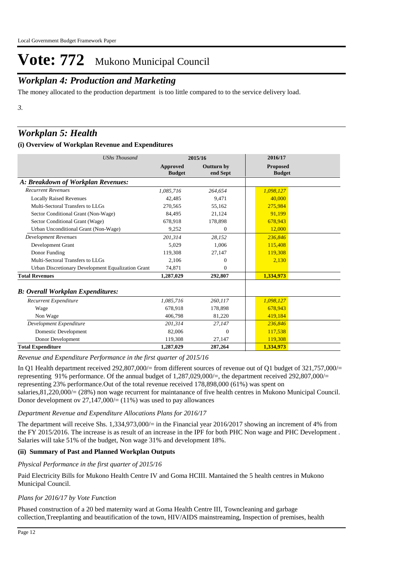# *Workplan 4: Production and Marketing*

The money allocated to the production department is too little compared to to the service delivery load.

*3.*

# *Workplan 5: Health*

## **(i) Overview of Workplan Revenue and Expenditures**

| <b>UShs Thousand</b>                               |                                  | 2015/16                | 2016/17                   |
|----------------------------------------------------|----------------------------------|------------------------|---------------------------|
|                                                    | <b>Approved</b><br><b>Budget</b> | Outturn by<br>end Sept | Proposed<br><b>Budget</b> |
| A: Breakdown of Workplan Revenues:                 |                                  |                        |                           |
| <b>Recurrent Revenues</b>                          | 1,085,716                        | 264,654                | 1,098,127                 |
| <b>Locally Raised Revenues</b>                     | 42.485                           | 9.471                  | 40,000                    |
| Multi-Sectoral Transfers to LLGs                   | 270,565                          | 55,162                 | 275,984                   |
| Sector Conditional Grant (Non-Wage)                | 84.495                           | 21,124                 | 91.199                    |
| Sector Conditional Grant (Wage)                    | 678,918                          | 178,898                | 678,943                   |
| Urban Unconditional Grant (Non-Wage)               | 9,252                            | $\Omega$               | 12,000                    |
| <b>Development Revenues</b>                        | 201.314                          | 28.152                 | 236,846                   |
| Development Grant                                  | 5.029                            | 1,006                  | 115,408                   |
| Donor Funding                                      | 119,308                          | 27,147                 | 119,308                   |
| Multi-Sectoral Transfers to LLGs                   | 2,106                            | $\Omega$               | 2,130                     |
| Urban Discretionary Development Equalization Grant | 74,871                           | $\Omega$               |                           |
| <b>Total Revenues</b>                              | 1,287,029                        | 292,807                | 1,334,973                 |
| <b>B</b> : Overall Workplan Expenditures:          |                                  |                        |                           |
| Recurrent Expenditure                              | 1,085,716                        | 260,117                | 1,098,127                 |
| Wage                                               | 678.918                          | 178,898                | 678,943                   |
| Non Wage                                           | 406,798                          | 81,220                 | 419,184                   |
| Development Expenditure                            | 201.314                          | 27,147                 | 236,846                   |
| Domestic Development                               | 82,006                           | $\Omega$               | 117,538                   |
| Donor Development                                  | 119,308                          | 27,147                 | 119,308                   |
| <b>Total Expenditure</b>                           | 1,287,029                        | 287,264                | 1,334,973                 |

*Revenue and Expenditure Performance in the first quarter of 2015/16*

In Q1 Health department received 292,807,000/= from different sources of revenue out of Q1 budget of 321,757,000/= representing 91% performance. Of the annual budget of 1,287,029,000/=, the department received 292,807,000/= representing 23% performance.Out of the total revenue received 178,898,000 (61%) was spent on salaries,81,220,000/= (28%) non wage recurrent for maintanance of five health centres in Mukono Municipal Council. Donor development ov  $27,147,000/=(11\%)$  was used to pay allowances

### *Department Revenue and Expenditure Allocations Plans for 2016/17*

The department will receive Shs. 1,334,973,000/= in the Financial year 2016/2017 showing an increment of 4% from the FY 2015/2016. The increase is as result of an increase in the IPF for both PHC Non wage and PHC Development . Salaries will take 51% of the budget, Non wage 31% and development 18%.

## **(ii) Summary of Past and Planned Workplan Outputs**

### *Physical Performance in the first quarter of 2015/16*

Paid Electricity Bills for Mukono Health Centre IV and Goma HCIII. Mantained the 5 health centres in Mukono Municipal Council.

## *Plans for 2016/17 by Vote Function*

Phased construction of a 20 bed maternity ward at Goma Health Centre III, Towncleaning and garbage collection,Treeplanting and beautification of the town, HIV/AIDS mainstreaming, Inspection of premises, health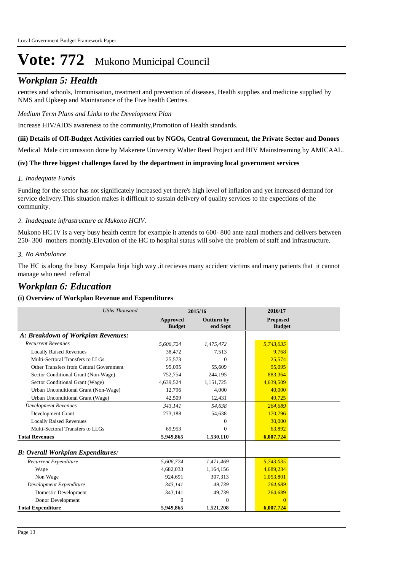# *Workplan 5: Health*

centres and schools, Immunisation, treatment and prevention of diseases, Health supplies and medicine supplied by NMS and Upkeep and Maintanance of the Five health Centres.

*Medium Term Plans and Links to the Development Plan*

Increase HIV/AIDS awareness to the community,Promotion of Health standards.

#### **(iii) Details of Off-Budget Activities carried out by NGOs, Central Government, the Private Sector and Donors**

Medical Male circumission done by Makerere University Walter Reed Project and HIV Mainstreaming by AMICAAL.

#### **(iv) The three biggest challenges faced by the department in improving local government services**

### *Inadequate Funds 1.*

Funding for the sector has not significately increased yet there's high level of inflation and yet increased demand for service delivery.This situation makes it difficult to sustain delivery of quality services to the expections of the community.

## *Inadequate infrastructure at Mukono HCIV. 2.*

Mukono HC IV is a very busy health centre for example it attends to 600- 800 ante natal mothers and delivers between 250- 300 mothers monthly.Elevation of the HC to hospital status will solve the problem of staff and infrastructure.

### *No Ambulance 3.*

The HC is along the busy Kampala Jinja high way .it recieves many accident victims and many patients that it cannot manage who need referral

## *Workplan 6: Education*

### **(i) Overview of Workplan Revenue and Expenditures**

| <b>UShs Thousand</b>                      |                                  | 2015/16                | 2016/17                          |
|-------------------------------------------|----------------------------------|------------------------|----------------------------------|
|                                           | <b>Approved</b><br><b>Budget</b> | Outturn by<br>end Sept | <b>Proposed</b><br><b>Budget</b> |
| A: Breakdown of Workplan Revenues:        |                                  |                        |                                  |
| <b>Recurrent Revenues</b>                 | 5.606.724                        | 1,475,472              | 5,743,035                        |
| <b>Locally Raised Revenues</b>            | 38,472                           | 7,513                  | 9.768                            |
| Multi-Sectoral Transfers to LLGs          | 25.573                           | $\Omega$               | 25.574                           |
| Other Transfers from Central Government   | 95,095                           | 55,609                 | 95,095                           |
| Sector Conditional Grant (Non-Wage)       | 752,754                          | 244,195                | 883,364                          |
| Sector Conditional Grant (Wage)           | 4,639,524                        | 1,151,725              | 4,639,509                        |
| Urban Unconditional Grant (Non-Wage)      | 12,796                           | 4,000                  | 40,000                           |
| Urban Unconditional Grant (Wage)          | 42,509                           | 12,431                 | 49,725                           |
| <b>Development Revenues</b>               | 343.141                          | 54.638                 | 264,689                          |
| Development Grant                         | 273,188                          | 54,638                 | 170,796                          |
| <b>Locally Raised Revenues</b>            |                                  | 0                      | 30,000                           |
| Multi-Sectoral Transfers to LLGs          | 69,953                           | $\Omega$               | 63,892                           |
| <b>Total Revenues</b>                     | 5,949,865                        | 1,530,110              | 6,007,724                        |
| <b>B</b> : Overall Workplan Expenditures: |                                  |                        |                                  |
| Recurrent Expenditure                     | 5,606,724                        | 1,471,469              | 5,743,035                        |
| Wage                                      | 4,682,033                        | 1,164,156              | 4,689,234                        |
| Non Wage                                  | 924,691                          | 307,313                | 1,053,801                        |
| Development Expenditure                   | 343.141                          | 49,739                 | 264,689                          |
| <b>Domestic Development</b>               | 343,141                          | 49,739                 | 264,689                          |
| Donor Development                         | $\Omega$                         | $\mathbf{0}$           | $\Omega$                         |
| <b>Total Expenditure</b>                  | 5,949,865                        | 1,521,208              | 6,007,724                        |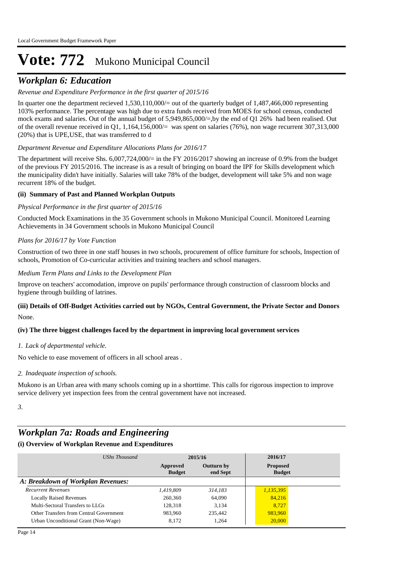# *Workplan 6: Education*

## *Revenue and Expenditure Performance in the first quarter of 2015/16*

In quarter one the department recieved  $1.530,110,000/$  = out of the quarterly budget of  $1.487,466,000$  representing 103% performance. The percentage was high due to extra funds received from MOES for school census, conducted mock exams and salaries. Out of the annual budget of 5,949,865,000/=,by the end of Q1 26% had been realised. Out of the overall revenue received in Q1,  $1,164,156,000/=$  was spent on salaries (76%), non wage recurrent 307,313,000 (20%) that is UPE,USE, that was transferred to d

### *Department Revenue and Expenditure Allocations Plans for 2016/17*

The department will receive Shs. 6,007,724,000/= in the FY 2016/2017 showing an increase of 0.9% from the budget of the previous FY 2015/2016. The increase is as a result of bringing on board the IPF for Skills development which the municipality didn't have initially. Salaries will take 78% of the budget, development will take 5% and non wage recurrent 18% of the budget.

### **(ii) Summary of Past and Planned Workplan Outputs**

#### *Physical Performance in the first quarter of 2015/16*

Conducted Mock Examinations in the 35 Government schools in Mukono Municipal Council. Monitored Learning Achievements in 34 Government schools in Mukono Municipal Council

#### *Plans for 2016/17 by Vote Function*

Construction of two three in one staff houses in two schools, procurement of office furniture for schools, Inspection of schools, Promotion of Co-curricular activities and training teachers and school managers.

#### *Medium Term Plans and Links to the Development Plan*

Improve on teachers' accomodation, improve on pupils' performance through construction of classroom blocks and hygiene through building of latrines.

## None. **(iii) Details of Off-Budget Activities carried out by NGOs, Central Government, the Private Sector and Donors**

#### **(iv) The three biggest challenges faced by the department in improving local government services**

#### *Lack of departmental vehicle. 1.*

No vehicle to ease movement of officers in all school areas .

*Inadequate inspection of schools. 2.*

Mukono is an Urban area with many schools coming up in a shorttime. This calls for rigorous inspection to improve service delivery yet inspection fees from the central government have not increased.

*3.*

# *Workplan 7a: Roads and Engineering*

### **(i) Overview of Workplan Revenue and Expenditures**

| UShs Thousand                           |                           | 2015/16                       | 2016/17                          |  |
|-----------------------------------------|---------------------------|-------------------------------|----------------------------------|--|
|                                         | Approved<br><b>Budget</b> | <b>Outturn by</b><br>end Sept | <b>Proposed</b><br><b>Budget</b> |  |
| A: Breakdown of Workplan Revenues:      |                           |                               |                                  |  |
| <b>Recurrent Revenues</b>               | 1.419.809                 | 314.183                       | 1,135,395                        |  |
| <b>Locally Raised Revenues</b>          | 260,360                   | 64,090                        | 84,216                           |  |
| Multi-Sectoral Transfers to LLGs        | 128,318                   | 3.134                         | 8.727                            |  |
| Other Transfers from Central Government | 983.960                   | 235,442                       | 983,960                          |  |
| Urban Unconditional Grant (Non-Wage)    | 8.172                     | 1.264                         | 20,000                           |  |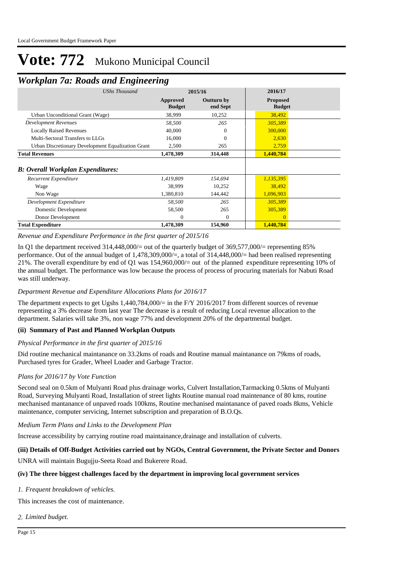## *Workplan 7a: Roads and Engineering*

| ┻                                        | ິ                                                  | ັ                         |                               |                                  |  |
|------------------------------------------|----------------------------------------------------|---------------------------|-------------------------------|----------------------------------|--|
|                                          | <b>UShs Thousand</b>                               |                           | 2015/16                       | 2016/17                          |  |
|                                          |                                                    | Approved<br><b>Budget</b> | <b>Outturn by</b><br>end Sept | <b>Proposed</b><br><b>Budget</b> |  |
| Urban Unconditional Grant (Wage)         |                                                    | 38,999                    | 10,252                        | 38,492                           |  |
| <b>Development Revenues</b>              |                                                    | 58,500                    | 265                           | 305,389                          |  |
| <b>Locally Raised Revenues</b>           |                                                    | 40,000                    | $\Omega$                      | 300,000                          |  |
| Multi-Sectoral Transfers to LLGs         |                                                    | 16,000                    | 0                             | 2,630                            |  |
|                                          | Urban Discretionary Development Equalization Grant | 2,500                     | 265                           | 2,759                            |  |
| <b>Total Revenues</b>                    |                                                    | 1,478,309                 | 314,448                       | 1,440,784                        |  |
| <b>B: Overall Workplan Expenditures:</b> |                                                    |                           |                               |                                  |  |
| Recurrent Expenditure                    |                                                    | 1,419,809                 | 154,694                       | 1,135,395                        |  |
| Wage                                     |                                                    | 38,999                    | 10,252                        | 38,492                           |  |
| Non Wage                                 |                                                    | 1,380,810                 | 144,442                       | 1,096,903                        |  |
| Development Expenditure                  |                                                    | 58,500                    | 265                           | 305,389                          |  |
| Domestic Development                     |                                                    | 58,500                    | 265                           | 305,389                          |  |
| Donor Development                        |                                                    | 0                         | $\Omega$                      | $\Omega$                         |  |
| <b>Total Expenditure</b>                 |                                                    | 1,478,309                 | 154,960                       | 1,440,784                        |  |

#### *Revenue and Expenditure Performance in the first quarter of 2015/16*

In Q1 the department received 314,448,000/= out of the quarterly budget of 369,577,000/= representing 85% performance. Out of the annual budget of 1,478,309,000/=, a total of 314,448,000/= had been realised representing 21%. The overall expenditure by end of Q1 was 154,960,000/= out of the planned expenditure representing 10% of the annual budget. The performance was low because the process of process of procuring materials for Nabuti Road was still underway.

### *Department Revenue and Expenditure Allocations Plans for 2016/17*

The department expects to get Ugshs 1,440,784,000/= in the F/Y 2016/2017 from different sources of revenue representing a 3% decrease from last year The decrease is a result of reducing Local revenue allocation to the department. Salaries will take 3%, non wage 77% and development 20% of the departmental budget.

### **(ii) Summary of Past and Planned Workplan Outputs**

### *Physical Performance in the first quarter of 2015/16*

Did routine mechanical maintanance on 33.2kms of roads and Routine manual maintanance on 79kms of roads, Purchased tyres for Grader, Wheel Loader and Garbage Tractor.

## *Plans for 2016/17 by Vote Function*

Second seal on 0.5km of Mulyanti Road plus drainage works, Culvert Installation,Tarmacking 0.5kms of Mulyanti Road, Surveying Mulyanti Road, Installation of street lights Routine manual road maintenance of 80 kms, routine mechanised mantanance of unpaved roads 100kms, Routine mechanised maintanance of paved roads 8kms, Vehicle maintenance, computer servicing, Internet subscription and preparation of B.O.Qs.

### *Medium Term Plans and Links to the Development Plan*

Increase accessibility by carrying routine road maintainance,drainage and installation of culverts.

### **(iii) Details of Off-Budget Activities carried out by NGOs, Central Government, the Private Sector and Donors**

UNRA will maintain Bugujju-Seeta Road and Bukerere Road.

### **(iv) The three biggest challenges faced by the department in improving local government services**

### *Frequent breakdown of vehicles. 1.*

This increases the cost of maintenance.

*Limited budget. 2.*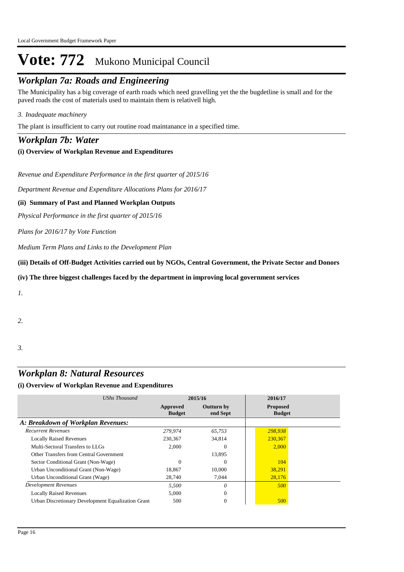# *Workplan 7a: Roads and Engineering*

The Municipality has a big coverage of earth roads which need gravelling yet the the bugdetline is small and for the paved roads the cost of materials used to maintain them is relativell high.

## *Inadequate machinery 3.*

The plant is insufficient to carry out routine road maintanance in a specified time.

## *Workplan 7b: Water*

## **(i) Overview of Workplan Revenue and Expenditures**

*Revenue and Expenditure Performance in the first quarter of 2015/16*

*Department Revenue and Expenditure Allocations Plans for 2016/17*

## **(ii) Summary of Past and Planned Workplan Outputs**

*Physical Performance in the first quarter of 2015/16*

*Plans for 2016/17 by Vote Function*

*Medium Term Plans and Links to the Development Plan*

**(iii) Details of Off-Budget Activities carried out by NGOs, Central Government, the Private Sector and Donors** 

### **(iv) The three biggest challenges faced by the department in improving local government services**

*1.*

*2.*

*3.*

# *Workplan 8: Natural Resources*

## **(i) Overview of Workplan Revenue and Expenditures**

| <b>UShs Thousand</b>                               | 2015/16                   |                               | 2016/17                          |  |
|----------------------------------------------------|---------------------------|-------------------------------|----------------------------------|--|
|                                                    | Approved<br><b>Budget</b> | <b>Outturn by</b><br>end Sept | <b>Proposed</b><br><b>Budget</b> |  |
| A: Breakdown of Workplan Revenues:                 |                           |                               |                                  |  |
| <b>Recurrent Revenues</b>                          | 279,974                   | 65.753                        | 298,938                          |  |
| <b>Locally Raised Revenues</b>                     | 230,367                   | 34,814                        | 230,367                          |  |
| Multi-Sectoral Transfers to LLGs                   | 2.000                     | $\Omega$                      | 2,000                            |  |
| Other Transfers from Central Government            |                           | 13,895                        |                                  |  |
| Sector Conditional Grant (Non-Wage)                | $\Omega$                  | $\Omega$                      | 104                              |  |
| Urban Unconditional Grant (Non-Wage)               | 18,867                    | 10,000                        | 38,291                           |  |
| Urban Unconditional Grant (Wage)                   | 28,740                    | 7,044                         | 28,176                           |  |
| <b>Development Revenues</b>                        | 5,500                     | $\theta$                      | 500                              |  |
| <b>Locally Raised Revenues</b>                     | 5.000                     | $\Omega$                      |                                  |  |
| Urban Discretionary Development Equalization Grant | 500                       | $\mathbf{0}$                  | 500                              |  |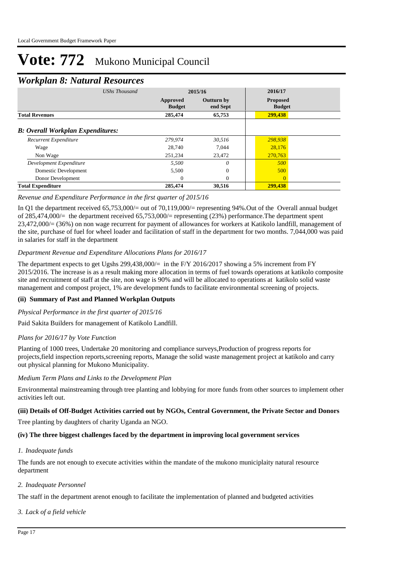# *Workplan 8: Natural Resources*

| ┻<br><b>UShs Thousand</b>                |                           | 2015/16                       |                                             |  |
|------------------------------------------|---------------------------|-------------------------------|---------------------------------------------|--|
|                                          | Approved<br><b>Budget</b> | <b>Outturn by</b><br>end Sept | 2016/17<br><b>Proposed</b><br><b>Budget</b> |  |
| <b>Total Revenues</b>                    | 285,474                   | 65,753                        | 299,438                                     |  |
| <b>B: Overall Workplan Expenditures:</b> |                           |                               |                                             |  |
| Recurrent Expenditure                    | 279,974                   | 30.516                        | 298,938                                     |  |
| Wage                                     | 28,740                    | 7.044                         | 28,176                                      |  |
| Non Wage                                 | 251.234                   | 23.472                        | 270.763                                     |  |
| Development Expenditure                  | 5,500                     | $\theta$                      | <i>500</i>                                  |  |
| Domestic Development                     | 5,500                     | $\theta$                      | 500                                         |  |
| Donor Development                        | $\Omega$                  | $\Omega$                      | $\theta$                                    |  |
| <b>Total Expenditure</b>                 | 285,474                   | 30,516                        | 299,438                                     |  |

### *Revenue and Expenditure Performance in the first quarter of 2015/16*

In Q1 the department received 65,753,000/= out of 70,119,000/= representing 94%. Out of the Overall annual budget of 285,474,000/= the department received 65,753,000/= representing (23%) performance.The department spent 23,472,000/= (36%) on non wage recurrent for payment of allowances for workers at Katikolo landfill, management of the site, purchase of fuel for wheel loader and facilitation of staff in the department for two months. 7,044,000 was paid in salaries for staff in the department

### *Department Revenue and Expenditure Allocations Plans for 2016/17*

The department expects to get Ugshs 299,438,000/= in the F/Y 2016/2017 showing a 5% increment from FY 2015/2016. The increase is as a result making more allocation in terms of fuel towards operations at katikolo composite site and recruitment of staff at the site, non wage is 90% and will be allocated to operations at katikolo solid waste management and compost project, 1% are development funds to facilitate environmental screening of projects.

### **(ii) Summary of Past and Planned Workplan Outputs**

#### *Physical Performance in the first quarter of 2015/16*

Paid Sakita Builders for management of Katikolo Landfill.

### *Plans for 2016/17 by Vote Function*

Planting of 1000 trees, Undertake 20 monitoring and compliance surveys,Production of progress reports for projects,field inspection reports,screening reports, Manage the solid waste management project at katikolo and carry out physical planning for Mukono Municipality.

#### *Medium Term Plans and Links to the Development Plan*

Environmental mainstreaming through tree planting and lobbying for more funds from other sources to implement other activities left out.

### **(iii) Details of Off-Budget Activities carried out by NGOs, Central Government, the Private Sector and Donors**

Tree planting by daughters of charity Uganda an NGO.

## **(iv) The three biggest challenges faced by the department in improving local government services**

## *Inadequate funds 1.*

The funds are not enough to execute activities within the mandate of the mukono municiplaity natural resource department

## *Inadequate Personnel 2.*

The staff in the department arenot enough to facilitate the implementation of planned and budgeted activities

## *Lack of a field vehicle 3.*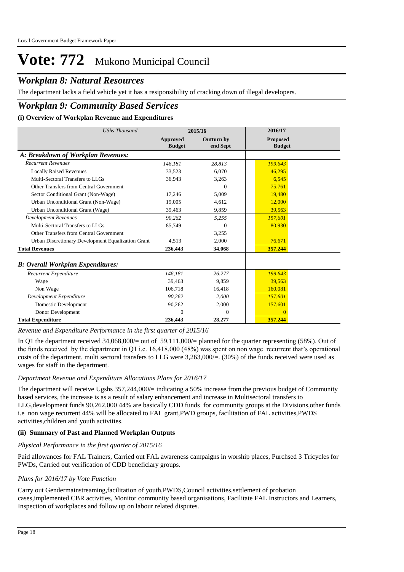# *Workplan 8: Natural Resources*

The department lacks a field vehicle yet it has a resiponsibility of cracking down of illegal developers.

## *Workplan 9: Community Based Services*

### **(i) Overview of Workplan Revenue and Expenditures**

| <b>UShs Thousand</b>                               | 2015/16                   |                        | 2016/17                          |
|----------------------------------------------------|---------------------------|------------------------|----------------------------------|
|                                                    | Approved<br><b>Budget</b> | Outturn by<br>end Sept | <b>Proposed</b><br><b>Budget</b> |
| A: Breakdown of Workplan Revenues:                 |                           |                        |                                  |
| <b>Recurrent Revenues</b>                          | 146,181                   | 28.813                 | 199,643                          |
| <b>Locally Raised Revenues</b>                     | 33.523                    | 6.070                  | 46.295                           |
| Multi-Sectoral Transfers to LLGs                   | 36,943                    | 3,263                  | 6.545                            |
| Other Transfers from Central Government            |                           | $\Omega$               | 75,761                           |
| Sector Conditional Grant (Non-Wage)                | 17,246                    | 5,009                  | 19,480                           |
| Urban Unconditional Grant (Non-Wage)               | 19.005                    | 4,612                  | 12,000                           |
| Urban Unconditional Grant (Wage)                   | 39,463                    | 9,859                  | 39,563                           |
| <b>Development Revenues</b>                        | 90.262                    | 5,255                  | 157,601                          |
| Multi-Sectoral Transfers to LLGs                   | 85,749                    | $\Omega$               | 80,930                           |
| Other Transfers from Central Government            |                           | 3,255                  |                                  |
| Urban Discretionary Development Equalization Grant | 4,513                     | 2,000                  | 76,671                           |
| <b>Total Revenues</b>                              | 236,443                   | 34,068                 | 357,244                          |
| <b>B: Overall Workplan Expenditures:</b>           |                           |                        |                                  |
| Recurrent Expenditure                              | 146.181                   | 26,277                 | 199,643                          |
| Wage                                               | 39,463                    | 9,859                  | 39,563                           |
| Non Wage                                           | 106,718                   | 16,418                 | 160,081                          |
| Development Expenditure                            | 90,262                    | 2.000                  | 157,601                          |
| Domestic Development                               | 90,262                    | 2,000                  | 157,601                          |
| Donor Development                                  | $\overline{0}$            | $\overline{0}$         | $\overline{0}$                   |
| <b>Total Expenditure</b>                           | 236,443                   | 28,277                 | 357,244                          |

*Revenue and Expenditure Performance in the first quarter of 2015/16*

In Q1 the department received  $34,068,000/=$  out of 59,111,000/= planned for the quarter representing (58%). Out of the funds received by the department in Q1 i.e. 16,418,000 (48%) was spent on non wage recurrent that's operational costs of the department, multi sectoral transfers to LLG were 3,263,000/=. (30%) of the funds received were used as wages for staff in the department.

#### *Department Revenue and Expenditure Allocations Plans for 2016/17*

The department will receive Ugshs 357,244,000/= indicating a 50% increase from the previous budget of Community based services, the increase is as a result of salary enhancement and increase in Multisectoral transfers to LLG,development funds 90,262,000 44% are basically CDD funds for community groups at the Divisions,other funds i.e non wage recurrent 44% will be allocated to FAL grant,PWD groups, facilitation of FAL activities,PWDS activities,children and youth activities.

### **(ii) Summary of Past and Planned Workplan Outputs**

#### *Physical Performance in the first quarter of 2015/16*

Paid allowances for FAL Trainers, Carried out FAL awareness campaigns in worship places, Purchsed 3 Tricycles for PWDs, Carried out verification of CDD beneficiary groups.

#### *Plans for 2016/17 by Vote Function*

Carry out Gendermainstreaming,facilitation of youth,PWDS,Council activities,settlement of probation cases,implemented CBR activities, Monitor community based organisations, Facilitate FAL Instructors and Learners, Inspection of workplaces and follow up on labour related disputes.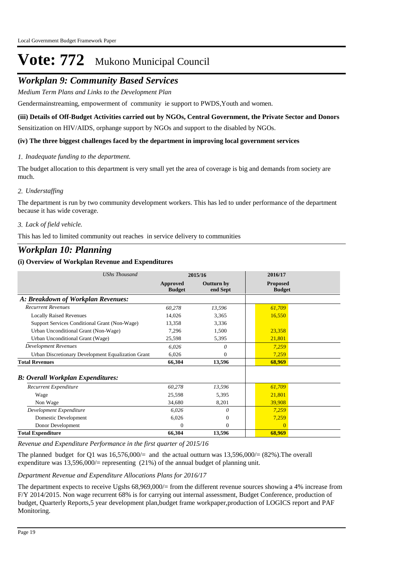## *Workplan 9: Community Based Services*

*Medium Term Plans and Links to the Development Plan*

Gendermainstreaming, empowerment of community ie support to PWDS,Youth and women.

### **(iii) Details of Off-Budget Activities carried out by NGOs, Central Government, the Private Sector and Donors**

Sensitization on HIV/AIDS, orphange support by NGOs and support to the disabled by NGOs.

#### **(iv) The three biggest challenges faced by the department in improving local government services**

#### *Inadequate funding to the department. 1.*

The budget allocation to this department is very small yet the area of coverage is big and demands from society are much.

### *Understaffing 2.*

The department is run by two community development workers. This has led to under performance of the department because it has wide coverage.

### *Lack of field vehicle. 3.*

This has led to limited community out reaches in service delivery to communities

## *Workplan 10: Planning*

### **(i) Overview of Workplan Revenue and Expenditures**

| <b>UShs Thousand</b>                               | 2015/16                   |                               | 2016/17                          |
|----------------------------------------------------|---------------------------|-------------------------------|----------------------------------|
|                                                    | Approved<br><b>Budget</b> | <b>Outturn by</b><br>end Sept | <b>Proposed</b><br><b>Budget</b> |
| A: Breakdown of Workplan Revenues:                 |                           |                               |                                  |
| <b>Recurrent Revenues</b>                          | 60,278                    | 13,596                        | 61,709                           |
| <b>Locally Raised Revenues</b>                     | 14,026                    | 3,365                         | 16,550                           |
| Support Services Conditional Grant (Non-Wage)      | 13,358                    | 3,336                         |                                  |
| Urban Unconditional Grant (Non-Wage)               | 7,296                     | 1,500                         | 23,358                           |
| Urban Unconditional Grant (Wage)                   | 25,598                    | 5,395                         | 21,801                           |
| <b>Development Revenues</b>                        | 6.026                     | 0                             | 7,259                            |
| Urban Discretionary Development Equalization Grant | 6,026                     | $\mathbf{0}$                  | 7,259                            |
| <b>Total Revenues</b>                              | 66,304                    | 13,596                        | 68,969                           |
| <b>B</b> : Overall Workplan Expenditures:          |                           |                               |                                  |
| <b>Recurrent Expenditure</b>                       | 60,278                    | 13,596                        | 61,709                           |
| Wage                                               | 25,598                    | 5,395                         | 21,801                           |
| Non Wage                                           | 34,680                    | 8,201                         | 39,908                           |
| Development Expenditure                            | 6,026                     | 0                             | 7,259                            |
| Domestic Development                               | 6,026                     | $\theta$                      | 7,259                            |
| Donor Development                                  | $\Omega$                  | $\theta$                      | $\Omega$                         |
| <b>Total Expenditure</b>                           | 66,304                    | 13,596                        | 68,969                           |

*Revenue and Expenditure Performance in the first quarter of 2015/16*

The planned budget for Q1 was  $16,576,000/=$  and the actual outturn was  $13,596,000/=(82%)$ . The overall expenditure was  $13,596,000/$ = representing (21%) of the annual budget of planning unit.

#### *Department Revenue and Expenditure Allocations Plans for 2016/17*

The department expects to receive Ugshs 68,969,000/= from the different revenue sources showing a 4% increase from F/Y 2014/2015. Non wage recurrent 68% is for carrying out internal assessment, Budget Conference, production of budget, Quarterly Reports,5 year development plan,budget frame workpaper,production of LOGICS report and PAF Monitoring.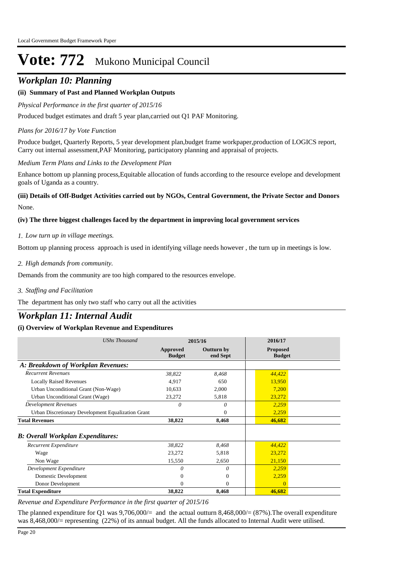## *Workplan 10: Planning*

## **(ii) Summary of Past and Planned Workplan Outputs**

#### *Physical Performance in the first quarter of 2015/16*

Produced budget estimates and draft 5 year plan,carried out Q1 PAF Monitoring.

#### *Plans for 2016/17 by Vote Function*

Produce budget, Quarterly Reports, 5 year development plan,budget frame workpaper,production of LOGICS report, Carry out internal assessment,PAF Monitoring, participatory planning and appraisal of projects.

#### *Medium Term Plans and Links to the Development Plan*

Enhance bottom up planning process,Equitable allocation of funds according to the resource evelope and development goals of Uganda as a country.

## None. **(iii) Details of Off-Budget Activities carried out by NGOs, Central Government, the Private Sector and Donors**

#### **(iv) The three biggest challenges faced by the department in improving local government services**

#### *Low turn up in village meetings. 1.*

Bottom up planning process approach is used in identifying village needs however , the turn up in meetings is low.

#### *High demands from community. 2.*

Demands from the community are too high compared to the resources envelope.

*Staffing and Facilitation 3.*

The department has only two staff who carry out all the activities

# *Workplan 11: Internal Audit*

### **(i) Overview of Workplan Revenue and Expenditures**

| <b>UShs Thousand</b>                               | 2015/16                   |                               | 2016/17                          |
|----------------------------------------------------|---------------------------|-------------------------------|----------------------------------|
|                                                    | Approved<br><b>Budget</b> | <b>Outturn by</b><br>end Sept | <b>Proposed</b><br><b>Budget</b> |
| A: Breakdown of Workplan Revenues:                 |                           |                               |                                  |
| <b>Recurrent Revenues</b>                          | 38,822                    | 8,468                         | 44,422                           |
| <b>Locally Raised Revenues</b>                     | 4,917                     | 650                           | 13,950                           |
| Urban Unconditional Grant (Non-Wage)               | 10,633                    | 2,000                         | 7,200                            |
| Urban Unconditional Grant (Wage)                   | 23,272                    | 5,818                         | 23,272                           |
| <b>Development Revenues</b>                        | $\theta$                  | 0                             | 2,259                            |
| Urban Discretionary Development Equalization Grant |                           | $\mathbf{0}$                  | 2,259                            |
| <b>Total Revenues</b>                              | 38,822                    | 8,468                         | 46,682                           |
| <b>B: Overall Workplan Expenditures:</b>           |                           |                               |                                  |
| Recurrent Expenditure                              | 38,822                    | 8,468                         | 44,422                           |
| Wage                                               | 23,272                    | 5,818                         | 23,272                           |
| Non Wage                                           | 15,550                    | 2,650                         | 21,150                           |
| Development Expenditure                            | 0                         | 0                             | 2,259                            |
| Domestic Development                               | 0                         | $\mathbf{0}$                  | 2,259                            |
| Donor Development                                  | $\mathbf{0}$              | $\mathbf{0}$                  | $\Omega$                         |
| <b>Total Expenditure</b>                           | 38,822                    | 8,468                         | 46,682                           |

*Revenue and Expenditure Performance in the first quarter of 2015/16*

The planned expenditure for O1 was  $9,706,000/=$  and the actual outturn  $8,468,000/=(87\%)$ . The overall expenditure was 8,468,000/= representing (22%) of its annual budget. All the funds allocated to Internal Audit were utilised.